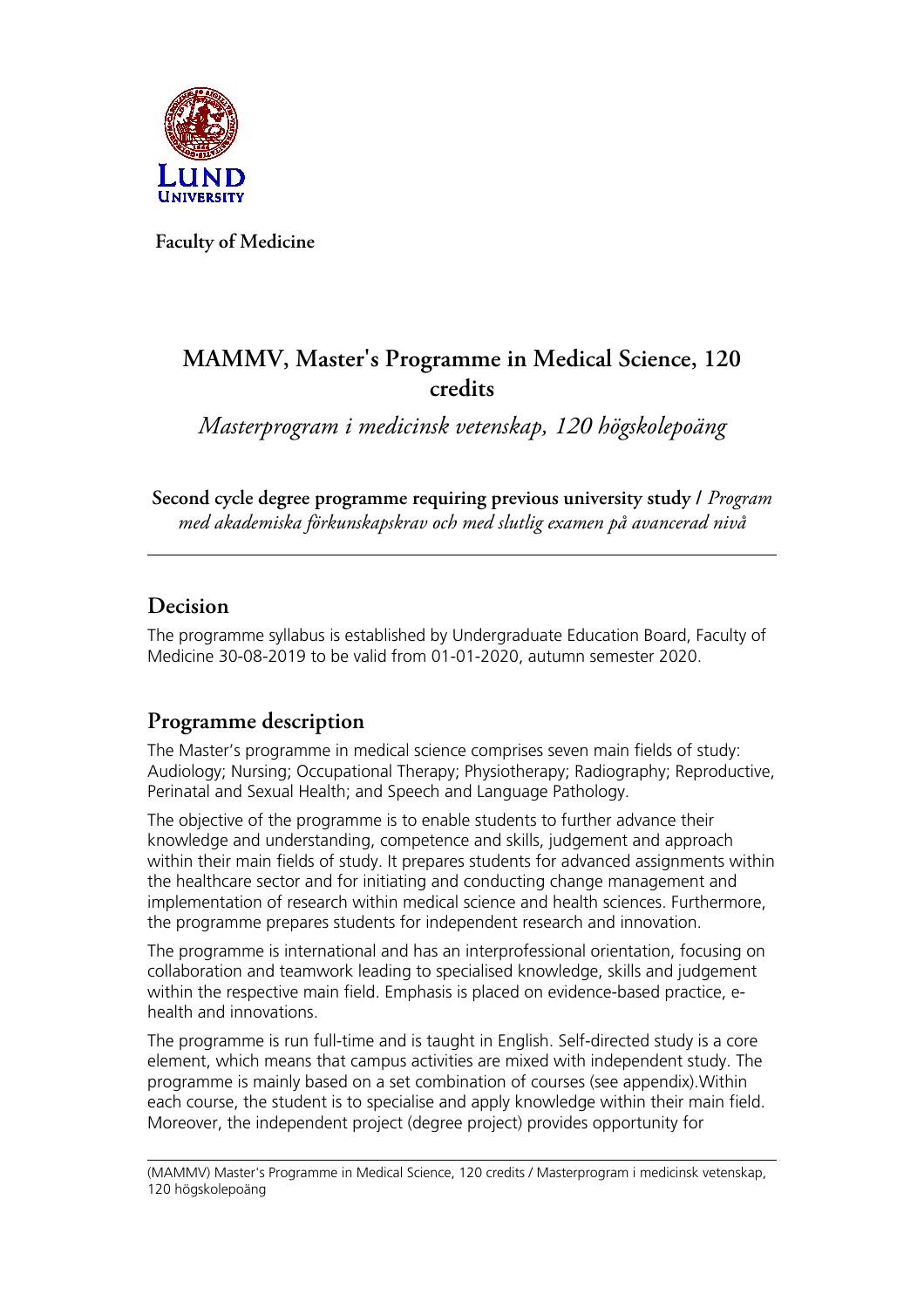

**Faculty of Medicine**

# **MAMMV, Master's Programme in Medical Science, 120 credits**

*Masterprogram i medicinsk vetenskap, 120 högskolepoäng*

**Second cycle degree programme requiring previous university study /** *Program med akademiska förkunskapskrav och med slutlig examen på avancerad nivå*

### **Decision**

The programme syllabus is established by Undergraduate Education Board, Faculty of Medicine 30-08-2019 to be valid from 01-01-2020, autumn semester 2020.

# **Programme description**

The Master's programme in medical science comprises seven main fields of study: Audiology; Nursing; Occupational Therapy; Physiotherapy; Radiography; Reproductive, Perinatal and Sexual Health; and Speech and Language Pathology.

The objective of the programme is to enable students to further advance their knowledge and understanding, competence and skills, judgement and approach within their main fields of study. It prepares students for advanced assignments within the healthcare sector and for initiating and conducting change management and implementation of research within medical science and health sciences. Furthermore, the programme prepares students for independent research and innovation.

The programme is international and has an interprofessional orientation, focusing on collaboration and teamwork leading to specialised knowledge, skills and judgement within the respective main field. Emphasis is placed on evidence-based practice, ehealth and innovations.

The programme is run full-time and is taught in English. Self-directed study is a core element, which means that campus activities are mixed with independent study. The programme is mainly based on a set combination of courses (see appendix).Within each course, the student is to specialise and apply knowledge within their main field. Moreover, the independent project (degree project) provides opportunity for

(MAMMV) Master's Programme in Medical Science, 120 credits / Masterprogram i medicinsk vetenskap, 120 högskolepoäng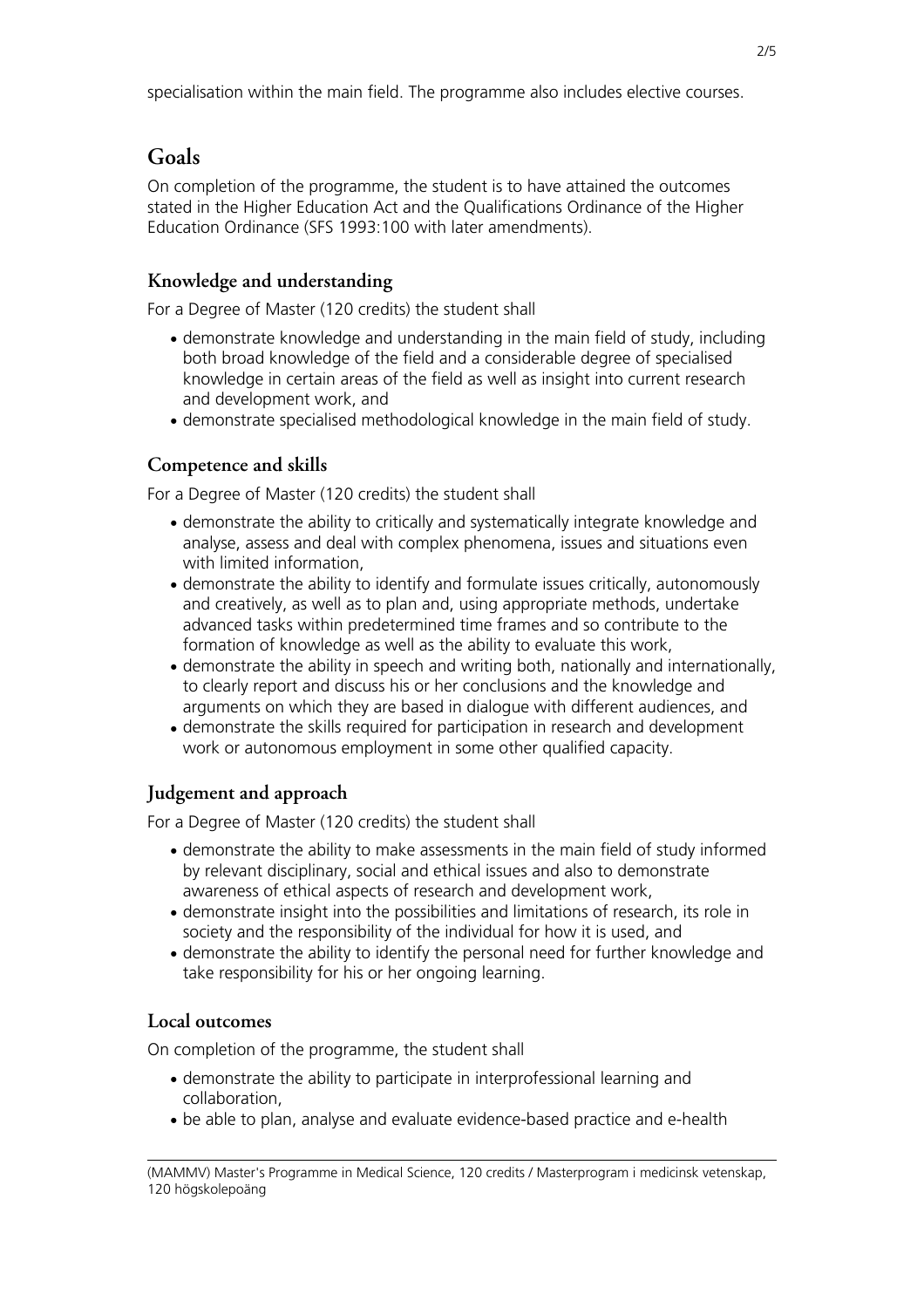# **Goals**

On completion of the programme, the student is to have attained the outcomes stated in the Higher Education Act and the Qualifications Ordinance of the Higher Education Ordinance (SFS 1993:100 with later amendments).

### **Knowledge and understanding**

For a Degree of Master (120 credits) the student shall

- demonstrate knowledge and understanding in the main field of study, including both broad knowledge of the field and a considerable degree of specialised knowledge in certain areas of the field as well as insight into current research and development work, and
- demonstrate specialised methodological knowledge in the main field of study.

### **Competence and skills**

For a Degree of Master (120 credits) the student shall

- demonstrate the ability to critically and systematically integrate knowledge and analyse, assess and deal with complex phenomena, issues and situations even with limited information,
- demonstrate the ability to identify and formulate issues critically, autonomously and creatively, as well as to plan and, using appropriate methods, undertake advanced tasks within predetermined time frames and so contribute to the formation of knowledge as well as the ability to evaluate this work,
- demonstrate the ability in speech and writing both, nationally and internationally, to clearly report and discuss his or her conclusions and the knowledge and arguments on which they are based in dialogue with different audiences, and
- demonstrate the skills required for participation in research and development work or autonomous employment in some other qualified capacity.

### **Judgement and approach**

For a Degree of Master (120 credits) the student shall

- demonstrate the ability to make assessments in the main field of study informed by relevant disciplinary, social and ethical issues and also to demonstrate awareness of ethical aspects of research and development work,
- demonstrate insight into the possibilities and limitations of research, its role in society and the responsibility of the individual for how it is used, and
- demonstrate the ability to identify the personal need for further knowledge and take responsibility for his or her ongoing learning.

### **Local outcomes**

On completion of the programme, the student shall

- demonstrate the ability to participate in interprofessional learning and collaboration,
- be able to plan, analyse and evaluate evidence-based practice and e-health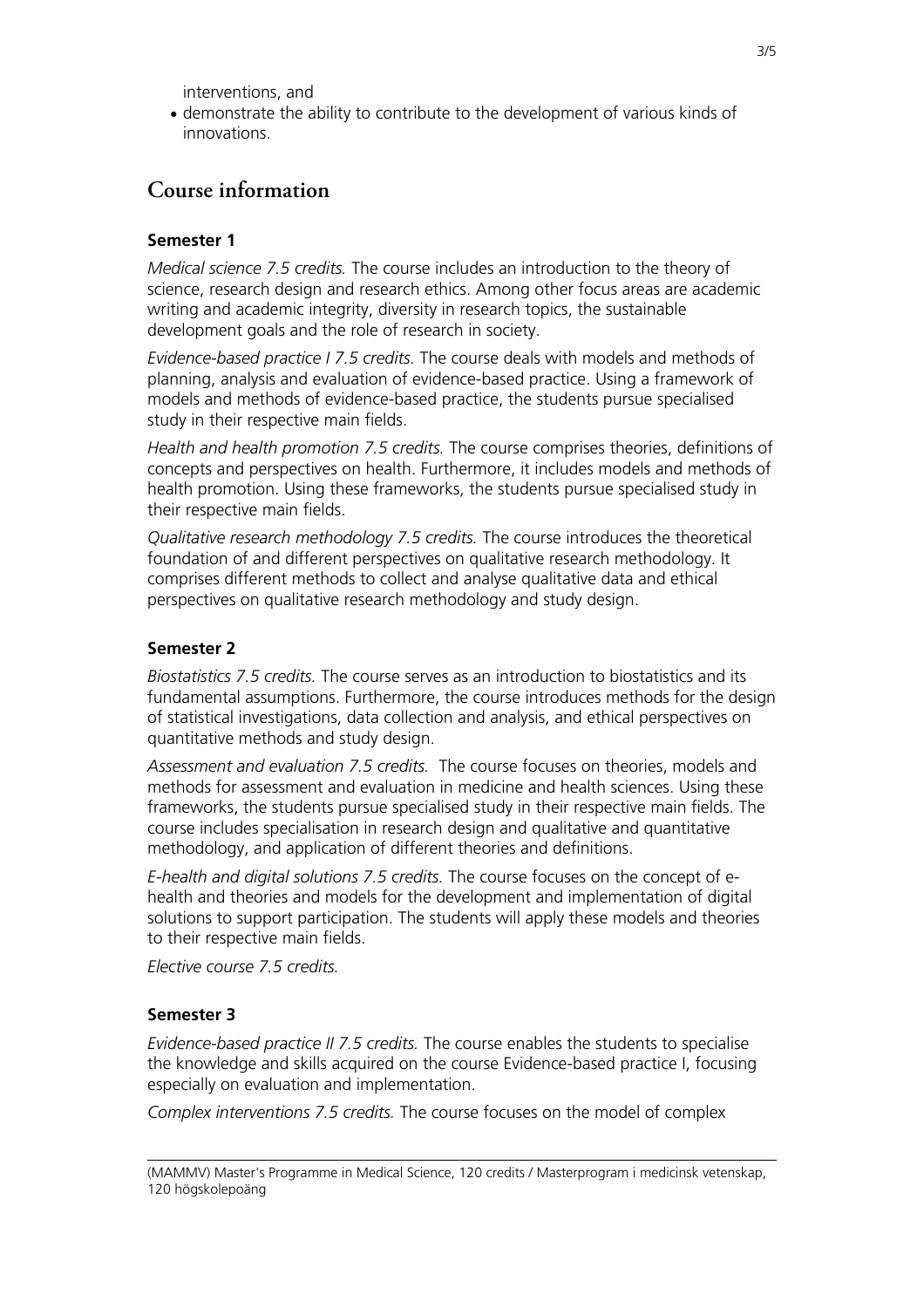interventions, and

• demonstrate the ability to contribute to the development of various kinds of innovations.

### **Course information**

#### **Semester 1**

*Medical science 7.5 credits.* The course includes an introduction to the theory of science, research design and research ethics. Among other focus areas are academic writing and academic integrity, diversity in research topics, the sustainable development goals and the role of research in society.

*Evidence-based practice I 7.5 credits.* The course deals with models and methods of planning, analysis and evaluation of evidence-based practice. Using a framework of models and methods of evidence-based practice, the students pursue specialised study in their respective main fields.

*Health and health promotion 7.5 credits.* The course comprises theories, definitions of concepts and perspectives on health. Furthermore, it includes models and methods of health promotion. Using these frameworks, the students pursue specialised study in their respective main fields.

*Qualitative research methodology 7.5 credits.* The course introduces the theoretical foundation of and different perspectives on qualitative research methodology. It comprises different methods to collect and analyse qualitative data and ethical perspectives on qualitative research methodology and study design.

#### **Semester 2**

*Biostatistics 7.5 credits.* The course serves as an introduction to biostatistics and its fundamental assumptions. Furthermore, the course introduces methods for the design of statistical investigations, data collection and analysis, and ethical perspectives on quantitative methods and study design.

*Assessment and evaluation 7.5 credits.* The course focuses on theories, models and methods for assessment and evaluation in medicine and health sciences. Using these frameworks, the students pursue specialised study in their respective main fields. The course includes specialisation in research design and qualitative and quantitative methodology, and application of different theories and definitions.

*E-health and digital solutions 7.5 credits.* The course focuses on the concept of ehealth and theories and models for the development and implementation of digital solutions to support participation. The students will apply these models and theories to their respective main fields.

*Elective course 7.5 credits.*

#### **Semester 3**

*Evidence-based practice II 7.5 credits.* The course enables the students to specialise the knowledge and skills acquired on the course Evidence-based practice I, focusing especially on evaluation and implementation.

*Complex interventions 7.5 credits.* The course focuses on the model of complex

(MAMMV) Master's Programme in Medical Science, 120 credits / Masterprogram i medicinsk vetenskap, 120 högskolepoäng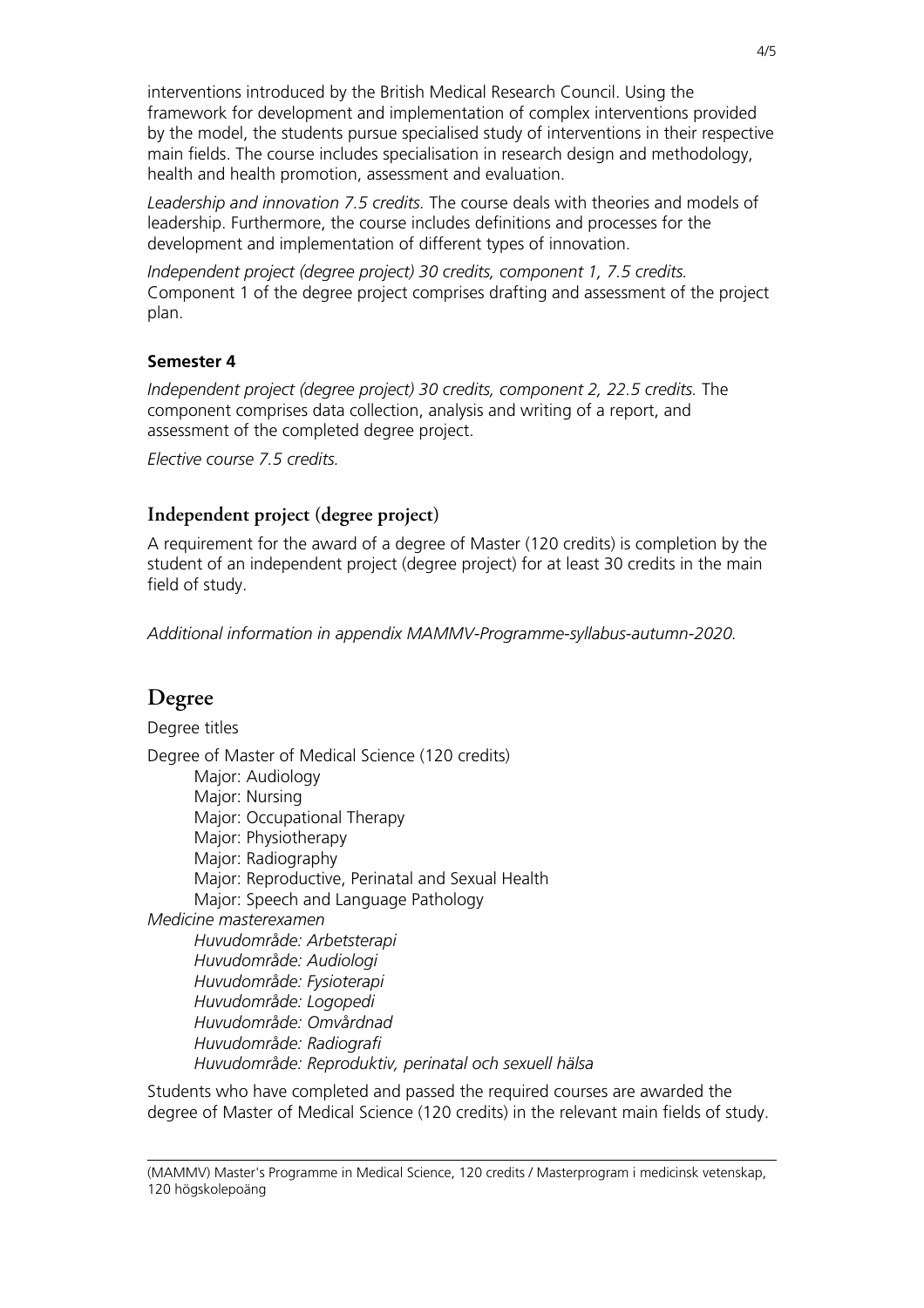interventions introduced by the British Medical Research Council. Using the framework for development and implementation of complex interventions provided by the model, the students pursue specialised study of interventions in their respective main fields. The course includes specialisation in research design and methodology, health and health promotion, assessment and evaluation.

*Leadership and innovation 7.5 credits.* The course deals with theories and models of leadership. Furthermore, the course includes definitions and processes for the development and implementation of different types of innovation.

*Independent project (degree project) 30 credits, component 1, 7.5 credits.* Component 1 of the degree project comprises drafting and assessment of the project plan.

#### **Semester 4**

*Independent project (degree project) 30 credits, component 2, 22.5 credits.* The component comprises data collection, analysis and writing of a report, and assessment of the completed degree project.

*Elective course 7.5 credits.*

#### **Independent project (degree project)**

A requirement for the award of a degree of Master (120 credits) is completion by the student of an independent project (degree project) for at least 30 credits in the main field of study.

*Additional information in appendix MAMMV-Programme-syllabus-autumn-2020.*

### **Degree**

Degree titles Degree of Master of Medical Science (120 credits) Major: Audiology Major: Nursing Major: Occupational Therapy Major: Physiotherapy Major: Radiography Major: Reproductive, Perinatal and Sexual Health Major: Speech and Language Pathology *Medicine masterexamen Huvudområde: Arbetsterapi Huvudområde: Audiologi Huvudområde: Fysioterapi Huvudområde: Logopedi Huvudområde: Omvårdnad Huvudområde: Radiografi Huvudområde: Reproduktiv, perinatal och sexuell hälsa*

Students who have completed and passed the required courses are awarded the degree of Master of Medical Science (120 credits) in the relevant main fields of study.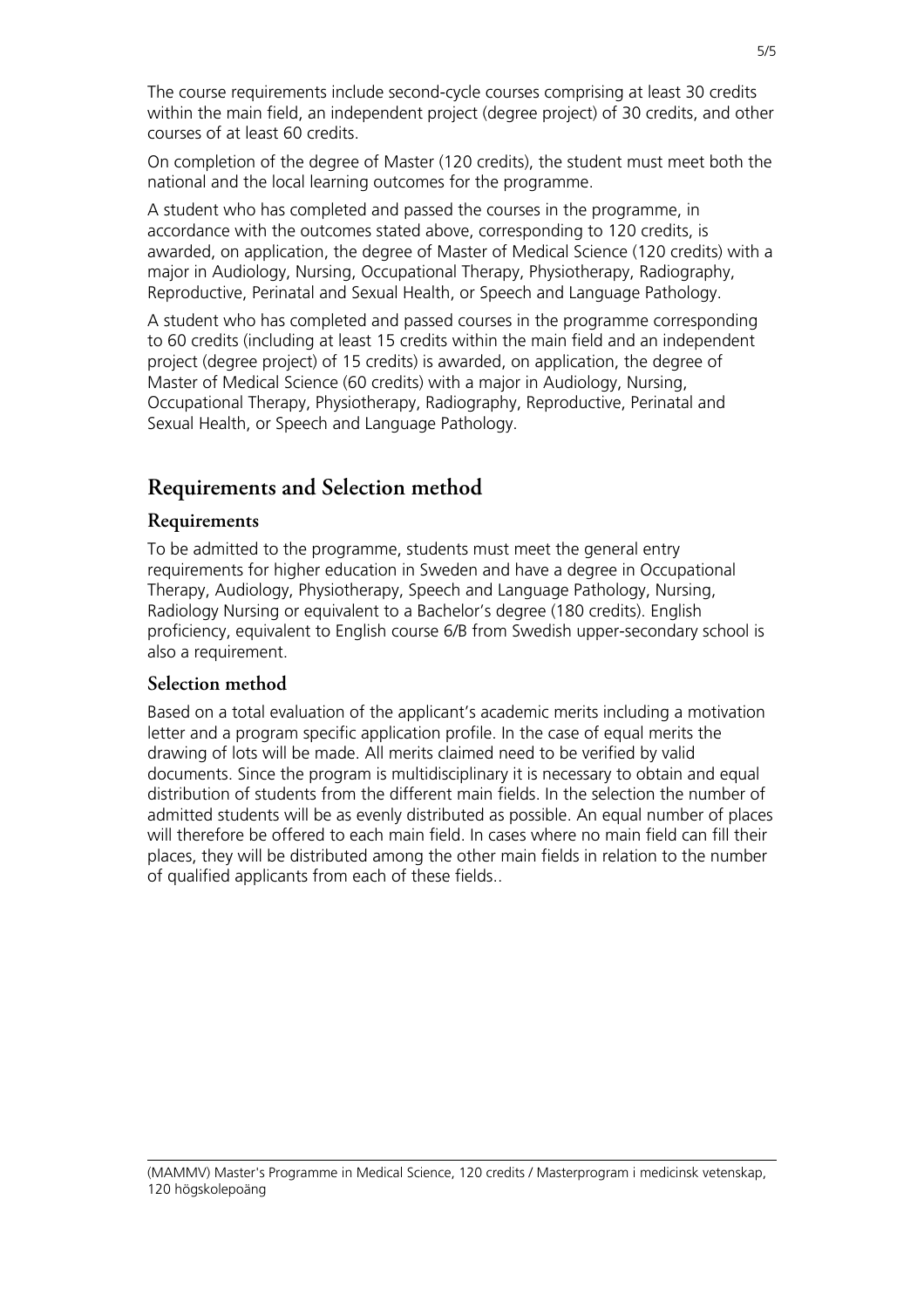The course requirements include second-cycle courses comprising at least 30 credits within the main field, an independent project (degree project) of 30 credits, and other courses of at least 60 credits.

On completion of the degree of Master (120 credits), the student must meet both the national and the local learning outcomes for the programme.

A student who has completed and passed the courses in the programme, in accordance with the outcomes stated above, corresponding to 120 credits, is awarded, on application, the degree of Master of Medical Science (120 credits) with a major in Audiology, Nursing, Occupational Therapy, Physiotherapy, Radiography, Reproductive, Perinatal and Sexual Health, or Speech and Language Pathology.

A student who has completed and passed courses in the programme corresponding to 60 credits (including at least 15 credits within the main field and an independent project (degree project) of 15 credits) is awarded, on application, the degree of Master of Medical Science (60 credits) with a major in Audiology, Nursing, Occupational Therapy, Physiotherapy, Radiography, Reproductive, Perinatal and Sexual Health, or Speech and Language Pathology.

### **Requirements and Selection method**

#### **Requirements**

To be admitted to the programme, students must meet the general entry requirements for higher education in Sweden and have a degree in Occupational Therapy, Audiology, Physiotherapy, Speech and Language Pathology, Nursing, Radiology Nursing or equivalent to a Bachelor's degree (180 credits). English proficiency, equivalent to English course 6/B from Swedish upper-secondary school is also a requirement.

#### **Selection method**

Based on a total evaluation of the applicant's academic merits including a motivation letter and a program specific application profile. In the case of equal merits the drawing of lots will be made. All merits claimed need to be verified by valid documents. Since the program is multidisciplinary it is necessary to obtain and equal distribution of students from the different main fields. In the selection the number of admitted students will be as evenly distributed as possible. An equal number of places will therefore be offered to each main field. In cases where no main field can fill their places, they will be distributed among the other main fields in relation to the number of qualified applicants from each of these fields..